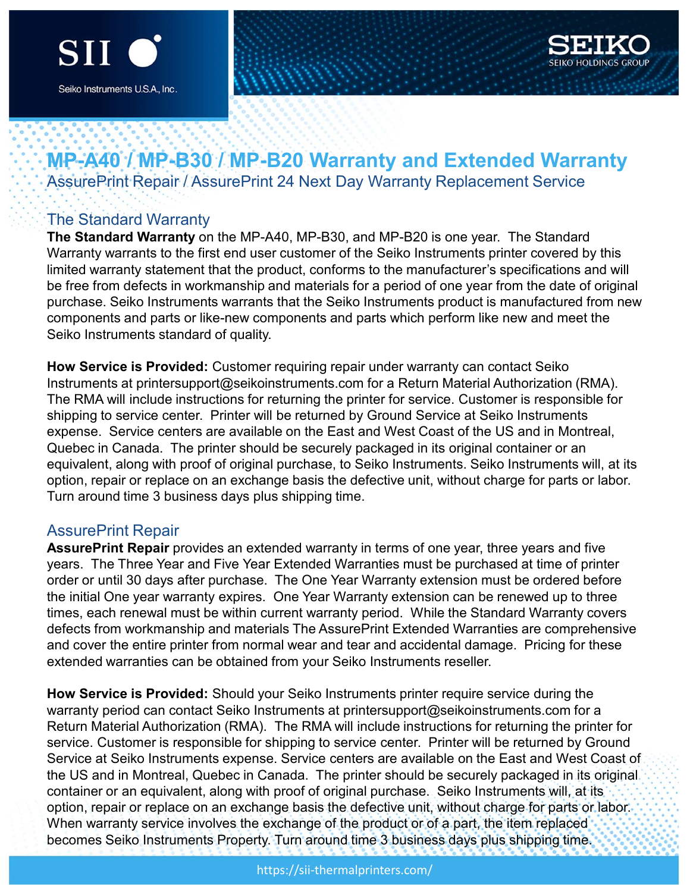



# MP-A40 / MP-B30 / MP-B20 Warranty and Extended Warranty Siko Instruments USA, Inc.<br>
Siko Instruments USA, Inc.<br>
MP-A40<sup>-</sup>/. MP-B30<sup>-/</sup>. MP-B20 Warranty and Extended Warranty<br>
AssurePrint Repair / AssurePrint 24 Next Day Warranty Replacement Service<br>
The Standard Warranty on the

## The Standard Warranty

The Standard Warranty on the MP-A40, MP-B30, and MP-B20 is one year. The Standard Warranty warrants to the first end user customer of the Seiko Instruments printer covered by this limited warranty statement that the product, conforms to the manufacturer's specifications and will be free from defects in workmanship and materials for a period of one year from the date of original purchase. Seiko Instruments warrants that the Seiko Instruments product is manufactured from new components and parts or like-new components and parts which perform like new and meet the Seiko Instruments standard of quality.

How Service is Provided: Customer requiring repair under warranty can contact Seiko Instruments at printersupport@seikoinstruments.com for a Return Material Authorization (RMA). The RMA will include instructions for returning the printer for service. Customer is responsible for shipping to service center. Printer will be returned by Ground Service at Seiko Instruments expense. Service centers are available on the East and West Coast of the US and in Montreal, Quebec in Canada. The printer should be securely packaged in its original container or an equivalent, along with proof of original purchase, to Seiko Instruments. Seiko Instruments will, at its option, repair or replace on an exchange basis the defective unit, without charge for parts or labor. Turn around time 3 business days plus shipping time. The Statianal Warranty of the wi---x-to, wir--5-bo, all wir--boy so site year.<br>Warranty warrants to the first end user customer of the Seiko Instruments pr<br>limited warranty statement that the product, conforms to the manuf Warlarity warians to the first eintic destructed to the constonent in the manufacturer's specifications and will<br>birited warranty statement that the product, conforms to the manufacturer's specifications and will<br>be free f immed waraniny saterient untak the potoact, comonis to due inariatatour is specinotatours. And with the fighinal<br>purchase. Seliko Instruments warrants that the Seliko Instruments product is manufactured from new<br>purchase. punctase. Search instruments warrants urac search instruments product is inanuaculum of the extends of particle is Provided: Customer requiring repair under warrantly can contact Seiko<br>How Service is Provided: Customer req Seiko insudinelits standard of quality.<br>How Service is Provided: Customer requiring repair under warrantly can contact Seiko<br>Instruments at printesupport@seikoinstruments.com for a Return Material Authorization (RMA).<br>The

order or until 30 days after purchase. The One Year Warranty extension must be ordered before times, each renewal must be within current warranty period. While the Standard Warranty covers and cover the entire printer from normal wear and tear and accidental damage. Pricing for these extended warranties can be obtained from your Seiko Instruments reseller.

How Service is Provided: Should your Seiko Instruments printer require service during the warranty period can contact Seiko Instruments at printersupport@seikoinstruments.com for a Return Material Authorization (RMA). The RMA will include instructions for returning the printer for service. Customer is responsible for shipping to service center. Printer will be returned by Ground Service at Seiko Instruments expense. Service centers are available on the East and West Coast of the US and in Montreal, Quebec in Canada. The printer should be securely packaged in its original container or an equivalent, along with proof of original purchase. Seiko Instruments will, at its option, repair or replace on an exchange basis the defective unit, without charge for parts or labor. When warranty service involves the exchange of the product or of a part, the item replaced becomes Seiko Instruments Property. Turn around time 3 business days plus shipping time.